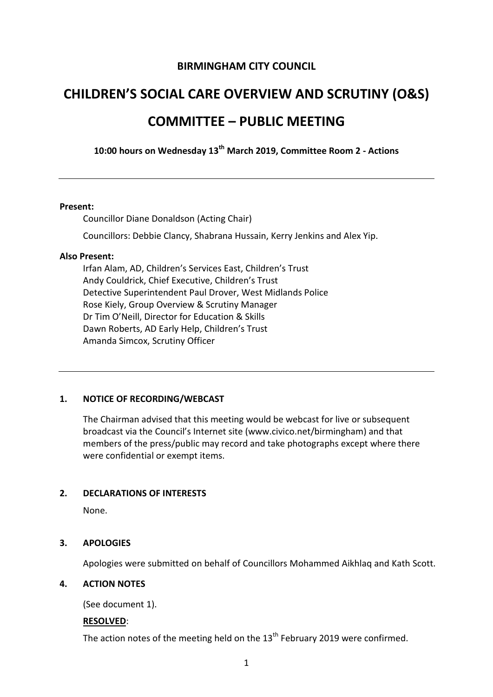# **BIRMINGHAM CITY COUNCIL**

# **CHILDREN'S SOCIAL CARE OVERVIEW AND SCRUTINY (O&S) COMMITTEE – PUBLIC MEETING**

**10:00 hours on Wednesday 13th March 2019, Committee Room 2 - Actions**

#### **Present:**

Councillor Diane Donaldson (Acting Chair)

Councillors: Debbie Clancy, Shabrana Hussain, Kerry Jenkins and Alex Yip.

#### **Also Present:**

Irfan Alam, AD, Children's Services East, Children's Trust Andy Couldrick, Chief Executive, Children's Trust Detective Superintendent Paul Drover, West Midlands Police Rose Kiely, Group Overview & Scrutiny Manager Dr Tim O'Neill, Director for Education & Skills Dawn Roberts, AD Early Help, Children's Trust Amanda Simcox, Scrutiny Officer

#### **1. NOTICE OF RECORDING/WEBCAST**

The Chairman advised that this meeting would be webcast for live or subsequent broadcast via the Council's Internet site (www.civico.net/birmingham) and that members of the press/public may record and take photographs except where there were confidential or exempt items.

#### **2. DECLARATIONS OF INTERESTS**

None.

#### **3. APOLOGIES**

Apologies were submitted on behalf of Councillors Mohammed Aikhlaq and Kath Scott.

## **4. ACTION NOTES**

(See document 1).

#### **RESOLVED**:

The action notes of the meeting held on the 13<sup>th</sup> February 2019 were confirmed.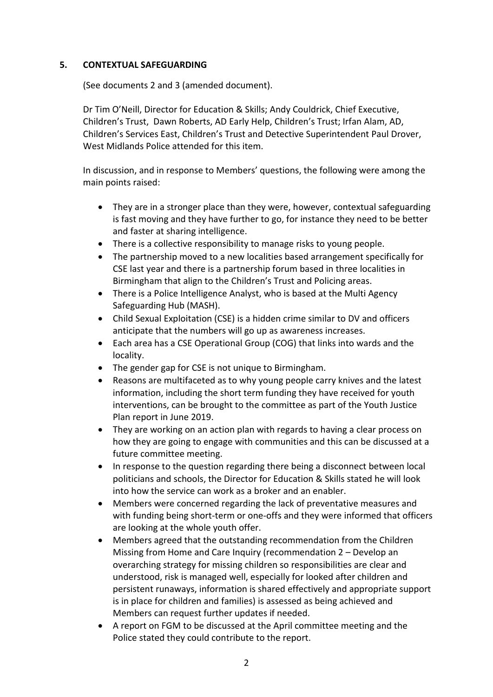## **5. CONTEXTUAL SAFEGUARDING**

(See documents 2 and 3 (amended document).

Dr Tim O'Neill, Director for Education & Skills; Andy Couldrick, Chief Executive, Children's Trust, Dawn Roberts, AD Early Help, Children's Trust; Irfan Alam, AD, Children's Services East, Children's Trust and Detective Superintendent Paul Drover, West Midlands Police attended for this item.

In discussion, and in response to Members' questions, the following were among the main points raised:

- They are in a stronger place than they were, however, contextual safeguarding is fast moving and they have further to go, for instance they need to be better and faster at sharing intelligence.
- There is a collective responsibility to manage risks to young people.
- The partnership moved to a new localities based arrangement specifically for CSE last year and there is a partnership forum based in three localities in Birmingham that align to the Children's Trust and Policing areas.
- There is a Police Intelligence Analyst, who is based at the Multi Agency Safeguarding Hub (MASH).
- Child Sexual Exploitation (CSE) is a hidden crime similar to DV and officers anticipate that the numbers will go up as awareness increases.
- Each area has a CSE Operational Group (COG) that links into wards and the locality.
- The gender gap for CSE is not unique to Birmingham.
- Reasons are multifaceted as to why young people carry knives and the latest information, including the short term funding they have received for youth interventions, can be brought to the committee as part of the Youth Justice Plan report in June 2019.
- They are working on an action plan with regards to having a clear process on how they are going to engage with communities and this can be discussed at a future committee meeting.
- In response to the question regarding there being a disconnect between local politicians and schools, the Director for Education & Skills stated he will look into how the service can work as a broker and an enabler.
- Members were concerned regarding the lack of preventative measures and with funding being short-term or one-offs and they were informed that officers are looking at the whole youth offer.
- Members agreed that the outstanding recommendation from the Children Missing from Home and Care Inquiry (recommendation 2 – Develop an overarching strategy for missing children so responsibilities are clear and understood, risk is managed well, especially for looked after children and persistent runaways, information is shared effectively and appropriate support is in place for children and families) is assessed as being achieved and Members can request further updates if needed.
- A report on FGM to be discussed at the April committee meeting and the Police stated they could contribute to the report.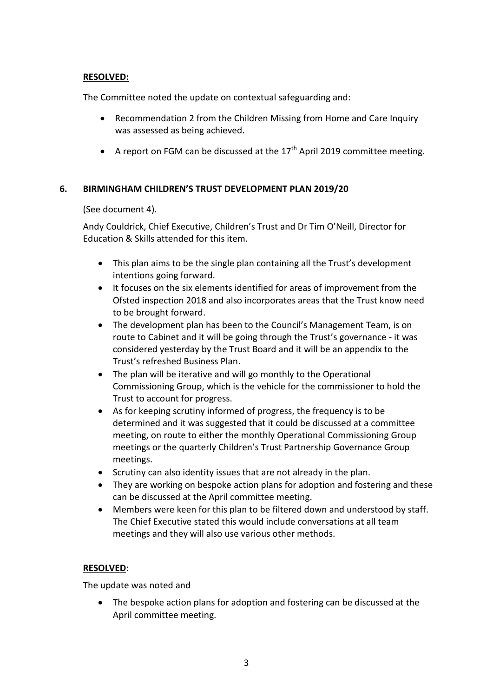## **RESOLVED:**

The Committee noted the update on contextual safeguarding and:

- Recommendation 2 from the Children Missing from Home and Care Inquiry was assessed as being achieved.
- A report on FGM can be discussed at the  $17<sup>th</sup>$  April 2019 committee meeting.

## **6. BIRMINGHAM CHILDREN'S TRUST DEVELOPMENT PLAN 2019/20**

(See document 4).

Andy Couldrick, Chief Executive, Children's Trust and Dr Tim O'Neill, Director for Education & Skills attended for this item.

- This plan aims to be the single plan containing all the Trust's development intentions going forward.
- It focuses on the six elements identified for areas of improvement from the Ofsted inspection 2018 and also incorporates areas that the Trust know need to be brought forward.
- The development plan has been to the Council's Management Team, is on route to Cabinet and it will be going through the Trust's governance - it was considered yesterday by the Trust Board and it will be an appendix to the Trust's refreshed Business Plan.
- The plan will be iterative and will go monthly to the Operational Commissioning Group, which is the vehicle for the commissioner to hold the Trust to account for progress.
- As for keeping scrutiny informed of progress, the frequency is to be determined and it was suggested that it could be discussed at a committee meeting, on route to either the monthly Operational Commissioning Group meetings or the quarterly Children's Trust Partnership Governance Group meetings.
- Scrutiny can also identity issues that are not already in the plan.
- They are working on bespoke action plans for adoption and fostering and these can be discussed at the April committee meeting.
- Members were keen for this plan to be filtered down and understood by staff. The Chief Executive stated this would include conversations at all team meetings and they will also use various other methods.

## **RESOLVED**:

The update was noted and

• The bespoke action plans for adoption and fostering can be discussed at the April committee meeting.